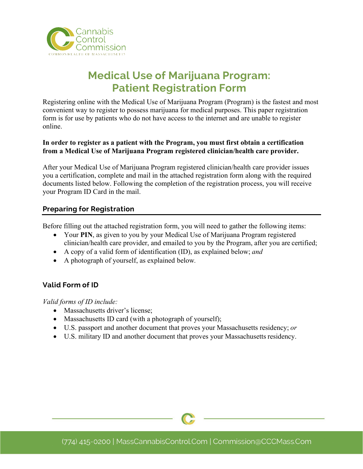

# **Medical Use of Marijuana Program: Patient Registration Form**

Registering online with the Medical Use of Marijuana Program (Program) is the fastest and most convenient way to register to possess marijuana for medical purposes. This paper registration form is for use by patients who do not have access to the internet and are unable to register online.

#### **In order to register as a patient with the Program, you must first obtain a certification from a Medical Use of Marijuana Program registered clinician/health care provider.**

After your Medical Use of Marijuana Program registered clinician/health care provider issues you a certification, complete and mail in the attached registration form along with the required documents listed below. Following the completion of the registration process, you will receive your Program ID Card in the mail.

#### **Preparing for Registration**

Before filling out the attached registration form, you will need to gather the following items:

- Your PIN, as given to you by your Medical Use of Marijuana Program registered clinician/health care provider, and emailed to you by the Program, after you are certified;
- A copy of a valid form of identification (ID), as explained below; *and*
- A photograph of yourself, as explained below*.*

### **Valid Form of ID**

*Valid forms of ID include:* 

- Massachusetts driver's license;
- Massachusetts ID card (with a photograph of yourself);
- U.S. passport and another document that proves your Massachusetts residency; *or*
- U.S. military ID and another document that proves your Massachusetts residency.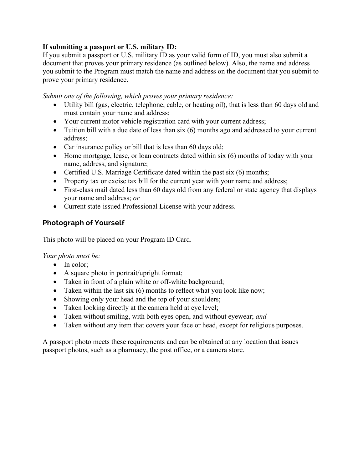#### **If submitting a passport or U.S. military ID:**

If you submit a passport or U.S. military ID as your valid form of ID, you must also submit a document that proves your primary residence (as outlined below). Also, the name and address you submit to the Program must match the name and address on the document that you submit to prove your primary residence.

*Submit one of the following, which proves your primary residence:*

- Utility bill (gas, electric, telephone, cable, or heating oil), that is less than 60 days old and must contain your name and address;
- Your current motor vehicle registration card with your current address;
- Tuition bill with a due date of less than six (6) months ago and addressed to your current address;
- Car insurance policy or bill that is less than 60 days old;
- Home mortgage, lease, or loan contracts dated within six (6) months of today with your name, address, and signature;
- Certified U.S. Marriage Certificate dated within the past six (6) months;
- Property tax or excise tax bill for the current year with your name and address;
- First-class mail dated less than 60 days old from any federal or state agency that displays your name and address; *or*
- Current state-issued Professional License with your address.

### **Photograph of Yourself**

This photo will be placed on your Program ID Card.

*Your photo must be:*

- In color;
- A square photo in portrait/upright format;
- Taken in front of a plain white or off-white background;
- Taken within the last six (6) months to reflect what you look like now;
- Showing only your head and the top of your shoulders;
- Taken looking directly at the camera held at eye level;
- Taken without smiling, with both eyes open, and without eyewear; *and*
- Taken without any item that covers your face or head, except for religious purposes.

A passport photo meets these requirements and can be obtained at any location that issues passport photos, such as a pharmacy, the post office, or a camera store.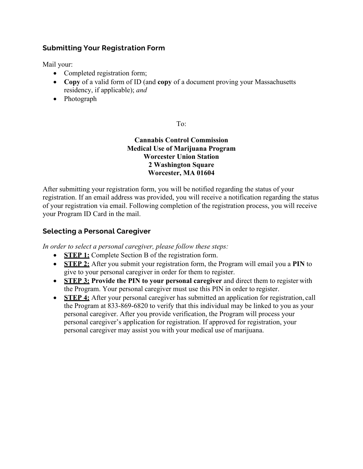### **Submitting Your Registration Form**

Mail your:

- Completed registration form;
- **Copy** of a valid form of ID (and **copy** of a document proving your Massachusetts residency, if applicable); *and*
- Photograph

To:

**Cannabis Control Commission Medical Use of Marijuana Program Worcester Union Station 2 Washington Square Worcester, MA 01604**

After submitting your registration form, you will be notified regarding the status of your registration. If an email address was provided, you will receive a notification regarding the status of your registration via email. Following completion of the registration process, you will receive your Program ID Card in the mail.

#### **Selecting a Personal Caregiver**

*In order to select a personal caregiver, please follow these steps:*

- **STEP 1:** Complete Section B of the registration form.
- **STEP 2:** After you submit your registration form, the Program will email you a **PIN** to give to your personal caregiver in order for them to register.
- **STEP 3: Provide the PIN to your personal caregiver** and direct them to register with the Program. Your personal caregiver must use this PIN in order to register.
- **STEP 4:** After your personal caregiver has submitted an application for registration, call the Program at 833-869-6820 to verify that this individual may be linked to you as your personal caregiver. After you provide verification, the Program will process your personal caregiver's application for registration. If approved for registration, your personal caregiver may assist you with your medical use of marijuana.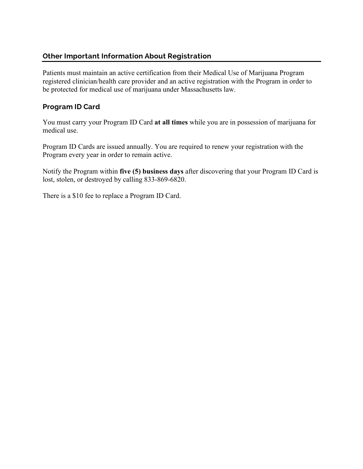### **Other Important Information About Registration**

Patients must maintain an active certification from their Medical Use of Marijuana Program registered clinician/health care provider and an active registration with the Program in order to be protected for medical use of marijuana under Massachusetts law.

#### **Program ID Card**

You must carry your Program ID Card **at all times** while you are in possession of marijuana for medical use.

Program ID Cards are issued annually. You are required to renew your registration with the Program every year in order to remain active.

Notify the Program within **five (5) business days** after discovering that your Program ID Card is lost, stolen, or destroyed by calling 833-869-6820.

There is a \$10 fee to replace a Program ID Card.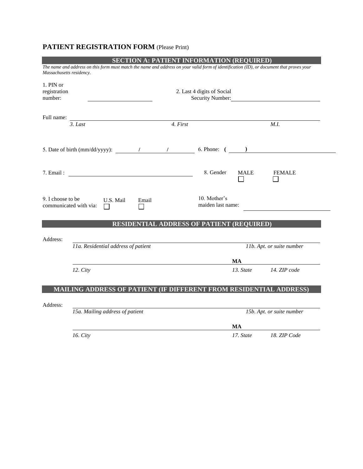## **PATIENT REGISTRATION FORM** (Please Print)

|                                      | <b>SECTION A: PATIENT INFORMATION (REQUIRED)</b>                                                                                          |          |                                   |             |                           |
|--------------------------------------|-------------------------------------------------------------------------------------------------------------------------------------------|----------|-----------------------------------|-------------|---------------------------|
| Massachusetts residency.             | The name and address on this form must match the name and address on your valid form of identification (ID), or document that proves your |          |                                   |             |                           |
| 1. PIN or<br>registration<br>number: | 2. Last 4 digits of Social<br>Security Number:                                                                                            |          |                                   |             |                           |
| Full name:                           | 3. Last                                                                                                                                   | 4. First |                                   |             | M.I.                      |
|                                      |                                                                                                                                           |          | $6.$ Phone: $($                   |             |                           |
| 7. Email:                            |                                                                                                                                           |          | 8. Gender                         | <b>MALE</b> | <b>FEMALE</b>             |
| 9. I choose to be                    | U.S. Mail<br>Email<br>communicated with via:<br>ΙI                                                                                        |          | 10. Mother's<br>maiden last name: |             |                           |
|                                      | <b>RESIDENTIAL ADDRESS OF PATIENT (REQUIRED)</b>                                                                                          |          |                                   |             |                           |
| Address:                             |                                                                                                                                           |          |                                   |             |                           |
|                                      | <b>11a.</b> Residential address of patient                                                                                                |          |                                   |             | 11b. Apt. or suite number |
|                                      |                                                                                                                                           |          |                                   | MA          |                           |
|                                      | $12. \text{City}$                                                                                                                         |          |                                   |             | 13. State 14. ZIP code    |
|                                      | <b>MAILING ADDRESS OF PATIENT (IF DIFFERENT FROM RESIDENTIAL ADDRESS)</b>                                                                 |          |                                   |             |                           |
| Address:                             |                                                                                                                                           |          |                                   |             |                           |
|                                      | 15a. Mailing address of patient                                                                                                           |          |                                   |             | 15b. Apt. or suite number |
|                                      |                                                                                                                                           |          |                                   | <b>MA</b>   |                           |
|                                      | 16. City                                                                                                                                  |          |                                   | 17. State   | 18. ZIP Code              |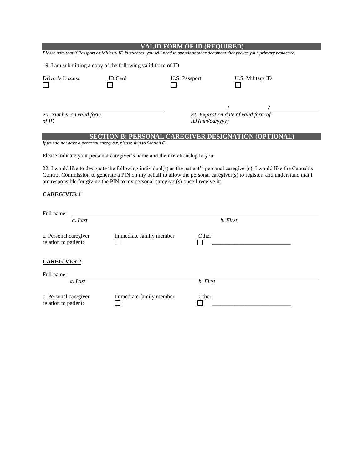| <b>VALID FORM OF ID (REQUIRED)</b>                                                                                                                                                                                                                                                                                                         |                                                             |                                                                           |                  |  |  |  |  |  |
|--------------------------------------------------------------------------------------------------------------------------------------------------------------------------------------------------------------------------------------------------------------------------------------------------------------------------------------------|-------------------------------------------------------------|---------------------------------------------------------------------------|------------------|--|--|--|--|--|
| Please note that if Passport or Military ID is selected, you will need to submit another document that proves your primary residence.                                                                                                                                                                                                      |                                                             |                                                                           |                  |  |  |  |  |  |
| 19. I am submitting a copy of the following valid form of ID:                                                                                                                                                                                                                                                                              |                                                             |                                                                           |                  |  |  |  |  |  |
| Driver's License                                                                                                                                                                                                                                                                                                                           | ID Card                                                     |                                                                           | U.S. Military ID |  |  |  |  |  |
| 20. Number on valid form<br>$of$ ID                                                                                                                                                                                                                                                                                                        |                                                             | $\frac{1}{21.}$ Expiration date of valid form of<br>$ID$ ( $mm/dd/yyyy$ ) |                  |  |  |  |  |  |
|                                                                                                                                                                                                                                                                                                                                            | <b>SECTION B: PERSONAL CAREGIVER DESIGNATION (OPTIONAL)</b> |                                                                           |                  |  |  |  |  |  |
| If you do not have a personal caregiver, please skip to Section C.                                                                                                                                                                                                                                                                         |                                                             |                                                                           |                  |  |  |  |  |  |
| Please indicate your personal caregiver's name and their relationship to you.                                                                                                                                                                                                                                                              |                                                             |                                                                           |                  |  |  |  |  |  |
| 22. I would like to designate the following individual(s) as the patient's personal caregiver(s), I would like the Cannabis<br>Control Commission to generate a PIN on my behalf to allow the personal caregiver(s) to register, and understand that I<br>am responsible for giving the PIN to my personal caregiver(s) once I receive it: |                                                             |                                                                           |                  |  |  |  |  |  |
| <b>CAREGIVER 1</b>                                                                                                                                                                                                                                                                                                                         |                                                             |                                                                           |                  |  |  |  |  |  |
| Full name:                                                                                                                                                                                                                                                                                                                                 |                                                             |                                                                           |                  |  |  |  |  |  |
| a. Last                                                                                                                                                                                                                                                                                                                                    |                                                             | b. First                                                                  |                  |  |  |  |  |  |
| c. Personal caregiver<br>relation to patient:                                                                                                                                                                                                                                                                                              | Immediate family member                                     | Other                                                                     |                  |  |  |  |  |  |
| <b>CAREGIVER 2</b>                                                                                                                                                                                                                                                                                                                         |                                                             |                                                                           |                  |  |  |  |  |  |
| Full name:                                                                                                                                                                                                                                                                                                                                 |                                                             |                                                                           |                  |  |  |  |  |  |
| a. Last                                                                                                                                                                                                                                                                                                                                    |                                                             | b. First                                                                  |                  |  |  |  |  |  |

Immediate family member Other Other

c. Personal caregiver

relation to patient: